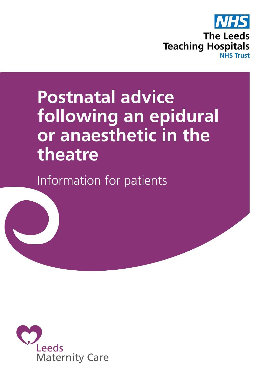

# **Postnatal advice following an epidural or anaesthetic in the theatre**

Information for patients

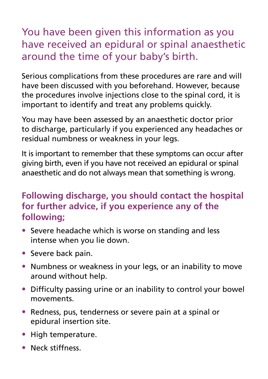## You have been given this information as you have received an epidural or spinal anaesthetic around the time of your baby's birth.

Serious complications from these procedures are rare and will have been discussed with you beforehand. However, because the procedures involve injections close to the spinal cord, it is important to identify and treat any problems quickly.

You may have been assessed by an anaesthetic doctor prior to discharge, particularly if you experienced any headaches or residual numbness or weakness in your legs.

It is important to remember that these symptoms can occur after giving birth, even if you have not received an epidural or spinal anaesthetic and do not always mean that something is wrong.

### **Following discharge, you should contact the hospital for further advice, if you experience any of the following;**

- Severe headache which is worse on standing and less intense when you lie down.
- Severe back pain.
- Numbness or weakness in your legs, or an inability to move around without help.
- Difficulty passing urine or an inability to control your bowel movements.
- Redness, pus, tenderness or severe pain at a spinal or epidural insertion site.
- High temperature.
- Neck stiffness.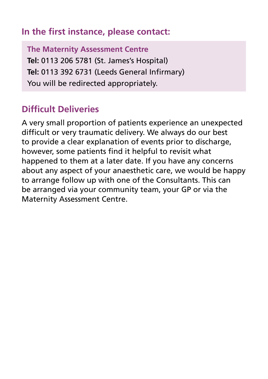#### **In the first instance, please contact:**

**The Maternity Assessment Centre Tel:** 0113 206 5781 (St. James's Hospital) **Tel:** 0113 392 6731 (Leeds General Infirmary) You will be redirected appropriately.

#### **Difficult Deliveries**

A very small proportion of patients experience an unexpected difficult or very traumatic delivery. We always do our best to provide a clear explanation of events prior to discharge, however, some patients find it helpful to revisit what happened to them at a later date. If you have any concerns about any aspect of your anaesthetic care, we would be happy to arrange follow up with one of the Consultants. This can be arranged via your community team, your GP or via the Maternity Assessment Centre.